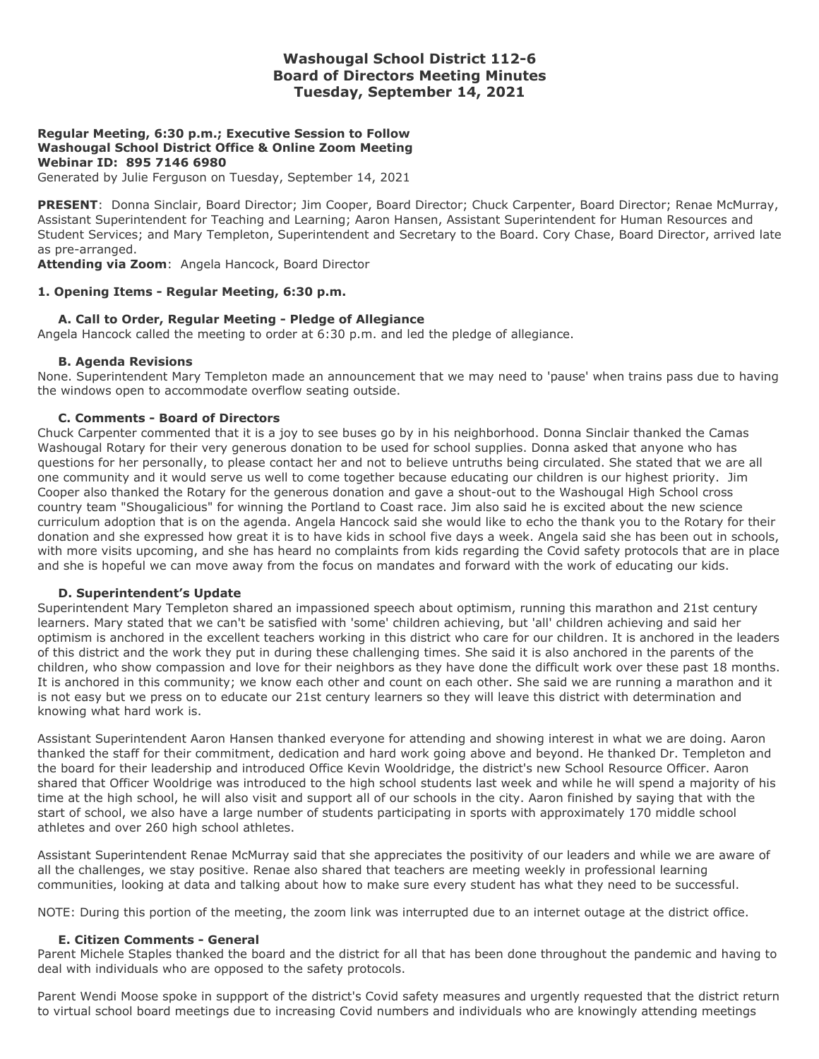# **Washougal School District 112-6 Board of Directors Meeting Minutes Tuesday, September 14, 2021**

#### **Regular Meeting, 6:30 p.m.; Executive Session to Follow Washougal School District Office & Online Zoom Meeting Webinar ID: 895 7146 6980**

Generated by Julie Ferguson on Tuesday, September 14, 2021

**PRESENT**: Donna Sinclair, Board Director; Jim Cooper, Board Director; Chuck Carpenter, Board Director; Renae McMurray, Assistant Superintendent for Teaching and Learning; Aaron Hansen, Assistant Superintendent for Human Resources and Student Services; and Mary Templeton, Superintendent and Secretary to the Board. Cory Chase, Board Director, arrived late as pre-arranged.

**Attending via Zoom**: Angela Hancock, Board Director

#### **1. Opening Items - Regular Meeting, 6:30 p.m.**

#### **A. Call to Order, Regular Meeting - Pledge of Allegiance**

Angela Hancock called the meeting to order at 6:30 p.m. and led the pledge of allegiance.

#### **B. Agenda Revisions**

None. Superintendent Mary Templeton made an announcement that we may need to 'pause' when trains pass due to having the windows open to accommodate overflow seating outside.

#### **C. Comments - Board of Directors**

Chuck Carpenter commented that it is a joy to see buses go by in his neighborhood. Donna Sinclair thanked the Camas Washougal Rotary for their very generous donation to be used for school supplies. Donna asked that anyone who has questions for her personally, to please contact her and not to believe untruths being circulated. She stated that we are all one community and it would serve us well to come together because educating our children is our highest priority. Jim Cooper also thanked the Rotary for the generous donation and gave a shout-out to the Washougal High School cross country team "Shougalicious" for winning the Portland to Coast race. Jim also said he is excited about the new science curriculum adoption that is on the agenda. Angela Hancock said she would like to echo the thank you to the Rotary for their donation and she expressed how great it is to have kids in school five days a week. Angela said she has been out in schools, with more visits upcoming, and she has heard no complaints from kids regarding the Covid safety protocols that are in place and she is hopeful we can move away from the focus on mandates and forward with the work of educating our kids.

#### **D. Superintendent's Update**

Superintendent Mary Templeton shared an impassioned speech about optimism, running this marathon and 21st century learners. Mary stated that we can't be satisfied with 'some' children achieving, but 'all' children achieving and said her optimism is anchored in the excellent teachers working in this district who care for our children. It is anchored in the leaders of this district and the work they put in during these challenging times. She said it is also anchored in the parents of the children, who show compassion and love for their neighbors as they have done the difficult work over these past 18 months. It is anchored in this community; we know each other and count on each other. She said we are running a marathon and it is not easy but we press on to educate our 21st century learners so they will leave this district with determination and knowing what hard work is.

Assistant Superintendent Aaron Hansen thanked everyone for attending and showing interest in what we are doing. Aaron thanked the staff for their commitment, dedication and hard work going above and beyond. He thanked Dr. Templeton and the board for their leadership and introduced Office Kevin Wooldridge, the district's new School Resource Officer. Aaron shared that Officer Wooldrige was introduced to the high school students last week and while he will spend a majority of his time at the high school, he will also visit and support all of our schools in the city. Aaron finished by saying that with the start of school, we also have a large number of students participating in sports with approximately 170 middle school athletes and over 260 high school athletes.

Assistant Superintendent Renae McMurray said that she appreciates the positivity of our leaders and while we are aware of all the challenges, we stay positive. Renae also shared that teachers are meeting weekly in professional learning communities, looking at data and talking about how to make sure every student has what they need to be successful.

NOTE: During this portion of the meeting, the zoom link was interrupted due to an internet outage at the district office.

#### **E. Citizen Comments - General**

Parent Michele Staples thanked the board and the district for all that has been done throughout the pandemic and having to deal with individuals who are opposed to the safety protocols.

Parent Wendi Moose spoke in suppport of the district's Covid safety measures and urgently requested that the district return to virtual school board meetings due to increasing Covid numbers and individuals who are knowingly attending meetings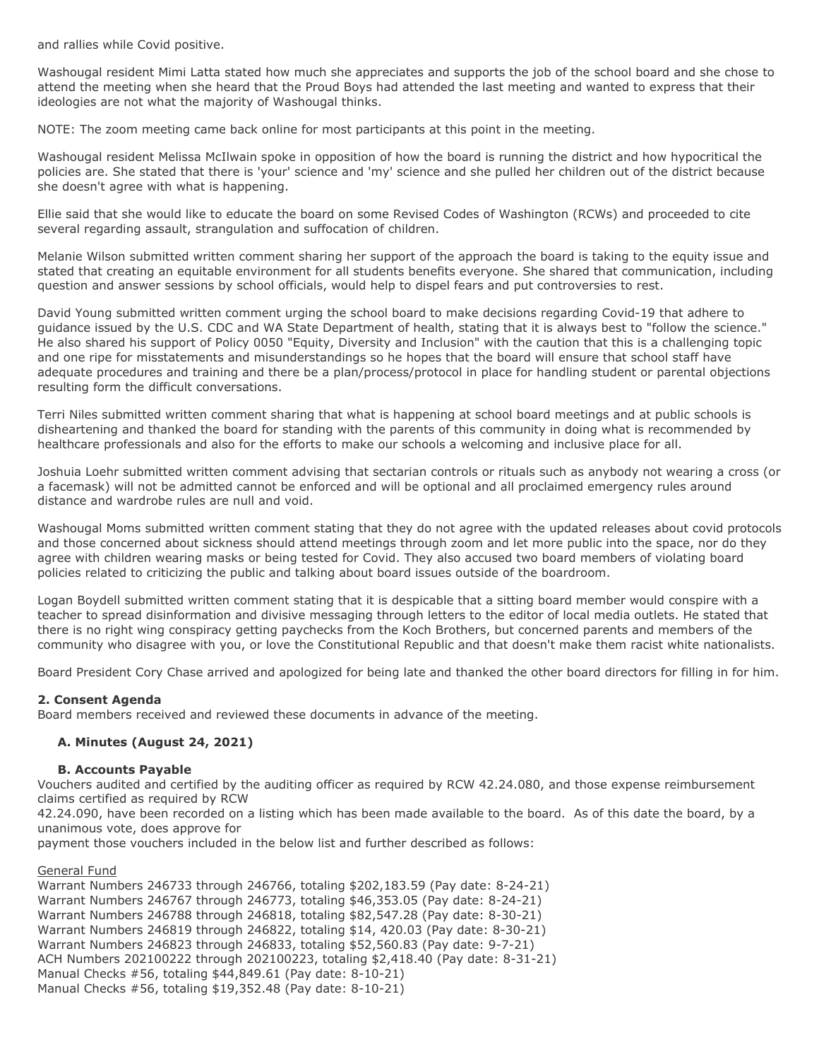and rallies while Covid positive.

Washougal resident Mimi Latta stated how much she appreciates and supports the job of the school board and she chose to attend the meeting when she heard that the Proud Boys had attended the last meeting and wanted to express that their ideologies are not what the majority of Washougal thinks.

NOTE: The zoom meeting came back online for most participants at this point in the meeting.

Washougal resident Melissa McIlwain spoke in opposition of how the board is running the district and how hypocritical the policies are. She stated that there is 'your' science and 'my' science and she pulled her children out of the district because she doesn't agree with what is happening.

Ellie said that she would like to educate the board on some Revised Codes of Washington (RCWs) and proceeded to cite several regarding assault, strangulation and suffocation of children.

Melanie Wilson submitted written comment sharing her support of the approach the board is taking to the equity issue and stated that creating an equitable environment for all students benefits everyone. She shared that communication, including question and answer sessions by school officials, would help to dispel fears and put controversies to rest.

David Young submitted written comment urging the school board to make decisions regarding Covid-19 that adhere to guidance issued by the U.S. CDC and WA State Department of health, stating that it is always best to "follow the science." He also shared his support of Policy 0050 "Equity, Diversity and Inclusion" with the caution that this is a challenging topic and one ripe for misstatements and misunderstandings so he hopes that the board will ensure that school staff have adequate procedures and training and there be a plan/process/protocol in place for handling student or parental objections resulting form the difficult conversations.

Terri Niles submitted written comment sharing that what is happening at school board meetings and at public schools is disheartening and thanked the board for standing with the parents of this community in doing what is recommended by healthcare professionals and also for the efforts to make our schools a welcoming and inclusive place for all.

Joshuia Loehr submitted written comment advising that sectarian controls or rituals such as anybody not wearing a cross (or a facemask) will not be admitted cannot be enforced and will be optional and all proclaimed emergency rules around distance and wardrobe rules are null and void.

Washougal Moms submitted written comment stating that they do not agree with the updated releases about covid protocols and those concerned about sickness should attend meetings through zoom and let more public into the space, nor do they agree with children wearing masks or being tested for Covid. They also accused two board members of violating board policies related to criticizing the public and talking about board issues outside of the boardroom.

Logan Boydell submitted written comment stating that it is despicable that a sitting board member would conspire with a teacher to spread disinformation and divisive messaging through letters to the editor of local media outlets. He stated that there is no right wing conspiracy getting paychecks from the Koch Brothers, but concerned parents and members of the community who disagree with you, or love the Constitutional Republic and that doesn't make them racist white nationalists.

Board President Cory Chase arrived and apologized for being late and thanked the other board directors for filling in for him.

## **2. Consent Agenda**

Board members received and reviewed these documents in advance of the meeting.

## **A. Minutes (August 24, 2021)**

#### **B. Accounts Payable**

Vouchers audited and certified by the auditing officer as required by RCW 42.24.080, and those expense reimbursement claims certified as required by RCW

42.24.090, have been recorded on a listing which has been made available to the board. As of this date the board, by a unanimous vote, does approve for

payment those vouchers included in the below list and further described as follows:

General Fund

Warrant Numbers 246733 through 246766, totaling \$202,183.59 (Pay date: 8-24-21) Warrant Numbers 246767 through 246773, totaling \$46,353.05 (Pay date: 8-24-21) Warrant Numbers 246788 through 246818, totaling \$82,547.28 (Pay date: 8-30-21) Warrant Numbers 246819 through 246822, totaling \$14, 420.03 (Pay date: 8-30-21) Warrant Numbers 246823 through 246833, totaling \$52,560.83 (Pay date: 9-7-21) ACH Numbers 202100222 through 202100223, totaling \$2,418.40 (Pay date: 8-31-21) Manual Checks #56, totaling \$44,849.61 (Pay date: 8-10-21) Manual Checks #56, totaling \$19,352.48 (Pay date: 8-10-21)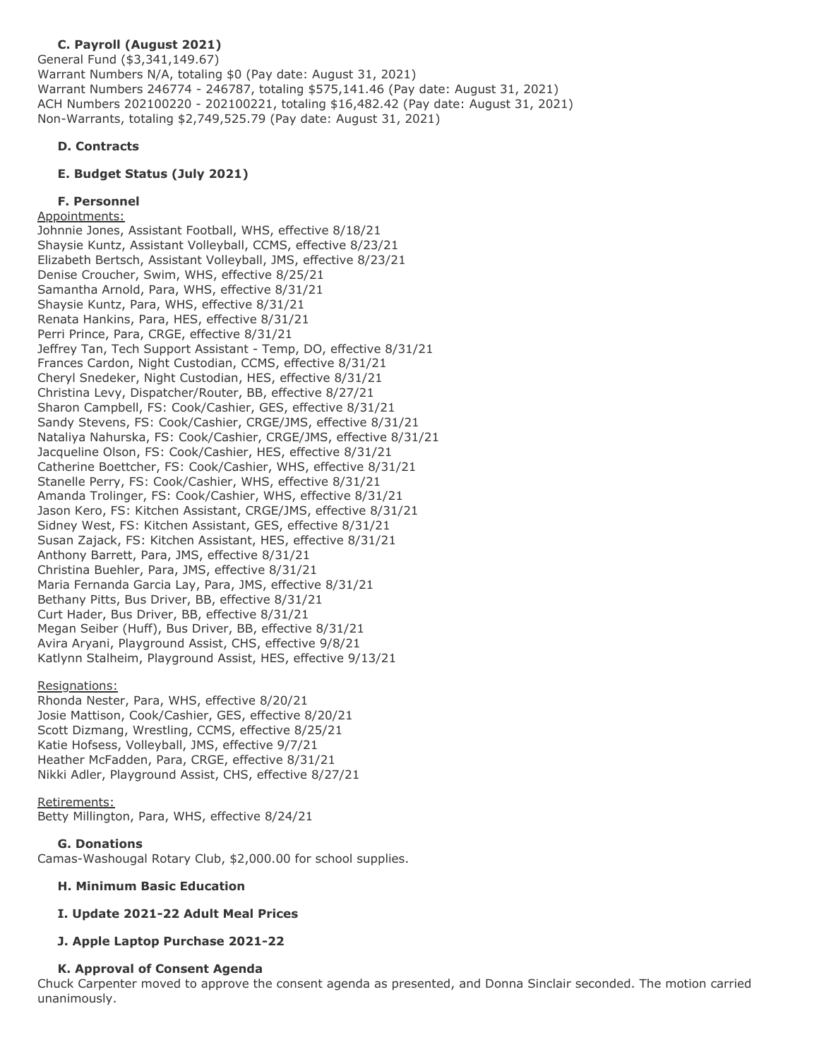#### **C. Payroll (August 2021)** General Fund (\$3,341,149.67) Warrant Numbers N/A, totaling \$0 (Pay date: August 31, 2021) Warrant Numbers 246774 - 246787, totaling \$575,141.46 (Pay date: August 31, 2021) ACH Numbers 202100220 - 202100221, totaling \$16,482.42 (Pay date: August 31, 2021) Non-Warrants, totaling \$2,749,525.79 (Pay date: August 31, 2021)

# **D. Contracts**

# **E. Budget Status (July 2021)**

# **F. Personnel**

# Appointments:

Johnnie Jones, Assistant Football, WHS, effective 8/18/21 Shaysie Kuntz, Assistant Volleyball, CCMS, effective 8/23/21 Elizabeth Bertsch, Assistant Volleyball, JMS, effective 8/23/21 Denise Croucher, Swim, WHS, effective 8/25/21 Samantha Arnold, Para, WHS, effective 8/31/21 Shaysie Kuntz, Para, WHS, effective 8/31/21 Renata Hankins, Para, HES, effective 8/31/21 Perri Prince, Para, CRGE, effective 8/31/21 Jeffrey Tan, Tech Support Assistant - Temp, DO, effective 8/31/21 Frances Cardon, Night Custodian, CCMS, effective 8/31/21 Cheryl Snedeker, Night Custodian, HES, effective 8/31/21 Christina Levy, Dispatcher/Router, BB, effective 8/27/21 Sharon Campbell, FS: Cook/Cashier, GES, effective 8/31/21 Sandy Stevens, FS: Cook/Cashier, CRGE/JMS, effective 8/31/21 Nataliya Nahurska, FS: Cook/Cashier, CRGE/JMS, effective 8/31/21 Jacqueline Olson, FS: Cook/Cashier, HES, effective 8/31/21 Catherine Boettcher, FS: Cook/Cashier, WHS, effective 8/31/21 Stanelle Perry, FS: Cook/Cashier, WHS, effective 8/31/21 Amanda Trolinger, FS: Cook/Cashier, WHS, effective 8/31/21 Jason Kero, FS: Kitchen Assistant, CRGE/JMS, effective 8/31/21 Sidney West, FS: Kitchen Assistant, GES, effective 8/31/21 Susan Zajack, FS: Kitchen Assistant, HES, effective 8/31/21 Anthony Barrett, Para, JMS, effective 8/31/21 Christina Buehler, Para, JMS, effective 8/31/21 Maria Fernanda Garcia Lay, Para, JMS, effective 8/31/21 Bethany Pitts, Bus Driver, BB, effective 8/31/21 Curt Hader, Bus Driver, BB, effective 8/31/21 Megan Seiber (Huff), Bus Driver, BB, effective 8/31/21 Avira Aryani, Playground Assist, CHS, effective 9/8/21 Katlynn Stalheim, Playground Assist, HES, effective 9/13/21

# Resignations:

Rhonda Nester, Para, WHS, effective 8/20/21 Josie Mattison, Cook/Cashier, GES, effective 8/20/21 Scott Dizmang, Wrestling, CCMS, effective 8/25/21 Katie Hofsess, Volleyball, JMS, effective 9/7/21 Heather McFadden, Para, CRGE, effective 8/31/21 Nikki Adler, Playground Assist, CHS, effective 8/27/21

# Retirements:

Betty Millington, Para, WHS, effective 8/24/21

# **G. Donations**

Camas-Washougal Rotary Club, \$2,000.00 for school supplies.

# **H. Minimum Basic Education**

# **I. Update 2021-22 Adult Meal Prices**

# **J. Apple Laptop Purchase 2021-22**

# **K. Approval of Consent Agenda**

Chuck Carpenter moved to approve the consent agenda as presented, and Donna Sinclair seconded. The motion carried unanimously.